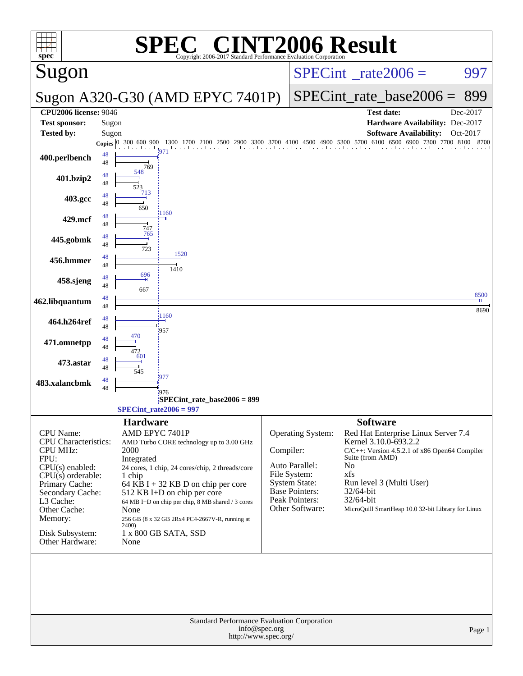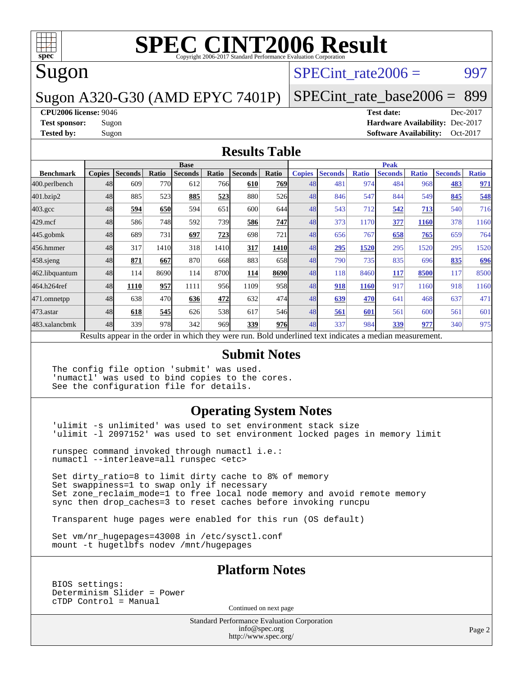

# Sugon

### Sugon A320-G30 (AMD EPYC 7401P)

SPECint rate $2006 = 997$ 

### [SPECint\\_rate\\_base2006 =](http://www.spec.org/auto/cpu2006/Docs/result-fields.html#SPECintratebase2006) 899

**[CPU2006 license:](http://www.spec.org/auto/cpu2006/Docs/result-fields.html#CPU2006license)** 9046 **[Test date:](http://www.spec.org/auto/cpu2006/Docs/result-fields.html#Testdate)** Dec-2017 **[Test sponsor:](http://www.spec.org/auto/cpu2006/Docs/result-fields.html#Testsponsor)** Sugon **[Hardware Availability:](http://www.spec.org/auto/cpu2006/Docs/result-fields.html#HardwareAvailability)** Dec-2017 **[Tested by:](http://www.spec.org/auto/cpu2006/Docs/result-fields.html#Testedby)** Sugon **[Software Availability:](http://www.spec.org/auto/cpu2006/Docs/result-fields.html#SoftwareAvailability)** Oct-2017

### **[Results Table](http://www.spec.org/auto/cpu2006/Docs/result-fields.html#ResultsTable)**

|                                                                                                          | <b>Base</b>   |                |            |                |       | <b>Peak</b>    |            |               |                |              |                |              |                |              |
|----------------------------------------------------------------------------------------------------------|---------------|----------------|------------|----------------|-------|----------------|------------|---------------|----------------|--------------|----------------|--------------|----------------|--------------|
| <b>Benchmark</b>                                                                                         | <b>Copies</b> | <b>Seconds</b> | Ratio      | <b>Seconds</b> | Ratio | <b>Seconds</b> | Ratio      | <b>Copies</b> | <b>Seconds</b> | <b>Ratio</b> | <b>Seconds</b> | <b>Ratio</b> | <b>Seconds</b> | <b>Ratio</b> |
| 400.perlbench                                                                                            | 48            | 609            | 770        | 612            | 766   | 610            | <b>769</b> | 48            | 481            | 974          | 484            | 968          | 483            | 971          |
| 401.bzip2                                                                                                | 48            | 885            | 523        | 885            | 523   | 880            | 526        | 48            | 846            | 547          | 844            | 549          | 845            | 548          |
| $403.\mathrm{gcc}$                                                                                       | 48            | 594            | <b>650</b> | 594            | 651   | 600            | 644        | 48            | 543            | 712          | 542            | 713          | 540            | 716          |
| $429$ .mcf                                                                                               | 48            | 586            | 748        | 592            | 739   | 586            | <b>747</b> | 48            | 373            | 1170         | 377            | 1160         | 378            | 1160         |
| $445$ .gobmk                                                                                             | 48            | 689            | 731        | 697            | 723   | 698            | 721        | 48            | 656            | 767          | 658            | 765          | 659            | 764          |
| 456.hmmer                                                                                                | 48            | 317            | 1410       | 318            | 1410  | 317            | 1410       | 48            | 295            | 1520         | 295            | 1520         | 295            | 1520         |
| $458$ .sjeng                                                                                             | 48            | 871            | 667        | 870            | 668   | 883            | 658l       | 48            | 790            | 735          | 835            | 696          | 835            | 696          |
| 462.libquantum                                                                                           | 48            | 114            | 8690       | 114            | 8700  | 114            | 8690       | 48            | 118            | 8460         | 117            | 8500         | 117            | 8500         |
| 464.h264ref                                                                                              | 48            | 1110           | 957        | 1111           | 956   | 1109           | 958        | 48            | 918            | 1160         | 917            | 1160         | 918            | 1160         |
| 471.omnetpp                                                                                              | 48            | 638            | 470        | 636            | 472   | 632            | 474        | 48            | 639            | 470          | 641            | 468          | 637            | 471          |
| 473.astar                                                                                                | 48            | 618            | 545        | 626            | 538   | 617            | 546        | 48            | 561            | 601          | 561            | 600          | 561            | 601          |
| 483.xalancbmk                                                                                            | 48            | 339            | 978        | 342            | 969   | 339            | 976        | 48            | 337            | 984          | 339            | 977          | 340            | 975          |
| Results appear in the order in which they were run. Bold underlined text indicates a median measurement. |               |                |            |                |       |                |            |               |                |              |                |              |                |              |

#### **[Submit Notes](http://www.spec.org/auto/cpu2006/Docs/result-fields.html#SubmitNotes)**

The config file option 'submit' was used. 'numactl' was used to bind copies to the cores. See the configuration file for details.

### **[Operating System Notes](http://www.spec.org/auto/cpu2006/Docs/result-fields.html#OperatingSystemNotes)**

'ulimit -s unlimited' was used to set environment stack size 'ulimit -l 2097152' was used to set environment locked pages in memory limit

runspec command invoked through numactl i.e.: numactl --interleave=all runspec <etc>

Set dirty\_ratio=8 to limit dirty cache to 8% of memory Set swappiness=1 to swap only if necessary Set zone\_reclaim\_mode=1 to free local node memory and avoid remote memory sync then drop\_caches=3 to reset caches before invoking runcpu

Transparent huge pages were enabled for this run (OS default)

Set vm/nr hugepages=43008 in /etc/sysctl.conf mount -t hugetlbfs nodev /mnt/hugepages

### **[Platform Notes](http://www.spec.org/auto/cpu2006/Docs/result-fields.html#PlatformNotes)**

BIOS settings: Determinism Slider = Power cTDP Control = Manual

Continued on next page

Standard Performance Evaluation Corporation [info@spec.org](mailto:info@spec.org) <http://www.spec.org/>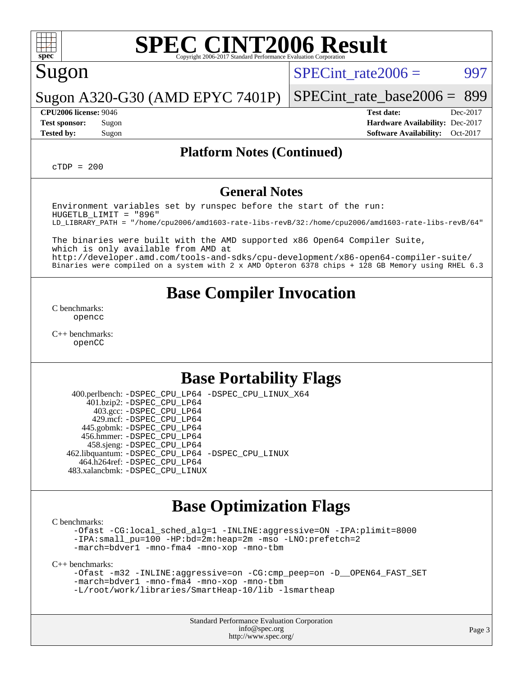

# Sugon

SPECint rate $2006 = 997$ 

Sugon A320-G30 (AMD EPYC 7401P)

[SPECint\\_rate\\_base2006 =](http://www.spec.org/auto/cpu2006/Docs/result-fields.html#SPECintratebase2006) 899 **[CPU2006 license:](http://www.spec.org/auto/cpu2006/Docs/result-fields.html#CPU2006license)** 9046 **[Test date:](http://www.spec.org/auto/cpu2006/Docs/result-fields.html#Testdate)** Dec-2017

**[Test sponsor:](http://www.spec.org/auto/cpu2006/Docs/result-fields.html#Testsponsor)** Sugon **[Hardware Availability:](http://www.spec.org/auto/cpu2006/Docs/result-fields.html#HardwareAvailability)** Dec-2017 **[Tested by:](http://www.spec.org/auto/cpu2006/Docs/result-fields.html#Testedby)** Sugon **[Software Availability:](http://www.spec.org/auto/cpu2006/Docs/result-fields.html#SoftwareAvailability)** Oct-2017

### **[Platform Notes \(Continued\)](http://www.spec.org/auto/cpu2006/Docs/result-fields.html#PlatformNotes)**

 $C TDP = 200$ 

#### **[General Notes](http://www.spec.org/auto/cpu2006/Docs/result-fields.html#GeneralNotes)**

Environment variables set by runspec before the start of the run: HUGETLB\_LIMIT = "896" LD\_LIBRARY\_PATH = "/home/cpu2006/amd1603-rate-libs-revB/32:/home/cpu2006/amd1603-rate-libs-revB/64"

The binaries were built with the AMD supported x86 Open64 Compiler Suite, which is only available from AMD at <http://developer.amd.com/tools-and-sdks/cpu-development/x86-open64-compiler-suite/> Binaries were compiled on a system with 2 x AMD Opteron 6378 chips + 128 GB Memory using RHEL 6.3

### **[Base Compiler Invocation](http://www.spec.org/auto/cpu2006/Docs/result-fields.html#BaseCompilerInvocation)**

[C benchmarks](http://www.spec.org/auto/cpu2006/Docs/result-fields.html#Cbenchmarks): [opencc](http://www.spec.org/cpu2006/results/res2017q4/cpu2006-20171211-50957.flags.html#user_CCbase_Fopencc)

[C++ benchmarks:](http://www.spec.org/auto/cpu2006/Docs/result-fields.html#CXXbenchmarks) [openCC](http://www.spec.org/cpu2006/results/res2017q4/cpu2006-20171211-50957.flags.html#user_CXXbase_FopenCC)

## **[Base Portability Flags](http://www.spec.org/auto/cpu2006/Docs/result-fields.html#BasePortabilityFlags)**

 400.perlbench: [-DSPEC\\_CPU\\_LP64](http://www.spec.org/cpu2006/results/res2017q4/cpu2006-20171211-50957.flags.html#b400.perlbench_basePORTABILITY_DSPEC_CPU_LP64) [-DSPEC\\_CPU\\_LINUX\\_X64](http://www.spec.org/cpu2006/results/res2017q4/cpu2006-20171211-50957.flags.html#b400.perlbench_baseCPORTABILITY_DSPEC_CPU_LINUX_X64) 401.bzip2: [-DSPEC\\_CPU\\_LP64](http://www.spec.org/cpu2006/results/res2017q4/cpu2006-20171211-50957.flags.html#suite_basePORTABILITY401_bzip2_DSPEC_CPU_LP64) 403.gcc: [-DSPEC\\_CPU\\_LP64](http://www.spec.org/cpu2006/results/res2017q4/cpu2006-20171211-50957.flags.html#suite_basePORTABILITY403_gcc_DSPEC_CPU_LP64) 429.mcf: [-DSPEC\\_CPU\\_LP64](http://www.spec.org/cpu2006/results/res2017q4/cpu2006-20171211-50957.flags.html#suite_basePORTABILITY429_mcf_DSPEC_CPU_LP64) 445.gobmk: [-DSPEC\\_CPU\\_LP64](http://www.spec.org/cpu2006/results/res2017q4/cpu2006-20171211-50957.flags.html#suite_basePORTABILITY445_gobmk_DSPEC_CPU_LP64) 456.hmmer: [-DSPEC\\_CPU\\_LP64](http://www.spec.org/cpu2006/results/res2017q4/cpu2006-20171211-50957.flags.html#suite_basePORTABILITY456_hmmer_DSPEC_CPU_LP64) 458.sjeng: [-DSPEC\\_CPU\\_LP64](http://www.spec.org/cpu2006/results/res2017q4/cpu2006-20171211-50957.flags.html#suite_basePORTABILITY458_sjeng_DSPEC_CPU_LP64) 462.libquantum: [-DSPEC\\_CPU\\_LP64](http://www.spec.org/cpu2006/results/res2017q4/cpu2006-20171211-50957.flags.html#suite_basePORTABILITY462_libquantum_DSPEC_CPU_LP64) [-DSPEC\\_CPU\\_LINUX](http://www.spec.org/cpu2006/results/res2017q4/cpu2006-20171211-50957.flags.html#b462.libquantum_baseCPORTABILITY_DSPEC_CPU_LINUX) 464.h264ref: [-DSPEC\\_CPU\\_LP64](http://www.spec.org/cpu2006/results/res2017q4/cpu2006-20171211-50957.flags.html#suite_basePORTABILITY464_h264ref_DSPEC_CPU_LP64) 483.xalancbmk: [-DSPEC\\_CPU\\_LINUX](http://www.spec.org/cpu2006/results/res2017q4/cpu2006-20171211-50957.flags.html#b483.xalancbmk_baseCXXPORTABILITY_DSPEC_CPU_LINUX)

### **[Base Optimization Flags](http://www.spec.org/auto/cpu2006/Docs/result-fields.html#BaseOptimizationFlags)**

[C benchmarks](http://www.spec.org/auto/cpu2006/Docs/result-fields.html#Cbenchmarks):

[-Ofast](http://www.spec.org/cpu2006/results/res2017q4/cpu2006-20171211-50957.flags.html#user_CCbase_F-Ofast) [-CG:local\\_sched\\_alg=1](http://www.spec.org/cpu2006/results/res2017q4/cpu2006-20171211-50957.flags.html#user_CCbase_F-CG:local_sched_alg_2175ca61f1a2717f1ec57b14995b9e7a) [-INLINE:aggressive=ON](http://www.spec.org/cpu2006/results/res2017q4/cpu2006-20171211-50957.flags.html#user_CCbase_F-INLINE:aggressive_1968a21fda3b9e485676870015f71302) [-IPA:plimit=8000](http://www.spec.org/cpu2006/results/res2017q4/cpu2006-20171211-50957.flags.html#user_CCbase_F-IPA:plimit_92cba83f3d47f09c7d5368fda93ddbd7) [-IPA:small\\_pu=100](http://www.spec.org/cpu2006/results/res2017q4/cpu2006-20171211-50957.flags.html#user_CCbase_F-IPA:small_pu_900a09767c6929d55c26ea3d32399996) [-HP:bd=2m:heap=2m](http://www.spec.org/cpu2006/results/res2017q4/cpu2006-20171211-50957.flags.html#user_CCbase_F-HUGEPAGE_539c723a9f9bd1bd95cd839aeb740bae) [-mso](http://www.spec.org/cpu2006/results/res2017q4/cpu2006-20171211-50957.flags.html#user_CCbase_F-mso) [-LNO:prefetch=2](http://www.spec.org/cpu2006/results/res2017q4/cpu2006-20171211-50957.flags.html#user_CCbase_F-LNO:prefetch_9aee81855ba0592a3c8a40ba7b041143) [-march=bdver1](http://www.spec.org/cpu2006/results/res2017q4/cpu2006-20171211-50957.flags.html#user_CCbase_F-march_fdb9f2653a6b3eaa60be4cf93a9ba5f3) [-mno-fma4](http://www.spec.org/cpu2006/results/res2017q4/cpu2006-20171211-50957.flags.html#user_CCbase_F-mno-fma4_e29f3a785f8b63ba2d60793d5b1cf4c3) [-mno-xop](http://www.spec.org/cpu2006/results/res2017q4/cpu2006-20171211-50957.flags.html#user_CCbase_F-mno-xop) [-mno-tbm](http://www.spec.org/cpu2006/results/res2017q4/cpu2006-20171211-50957.flags.html#user_CCbase_F-mno-tbm)

[C++ benchmarks:](http://www.spec.org/auto/cpu2006/Docs/result-fields.html#CXXbenchmarks)

```
-Ofast -m32 -INLINE:aggressive=on -CG:cmp_peep=on -D__OPEN64_FAST_SET
-march=bdver1 -mno-fma4 -mno-xop -mno-tbm
-L/root/work/libraries/SmartHeap-10/lib -lsmartheap
```
Standard Performance Evaluation Corporation [info@spec.org](mailto:info@spec.org) <http://www.spec.org/>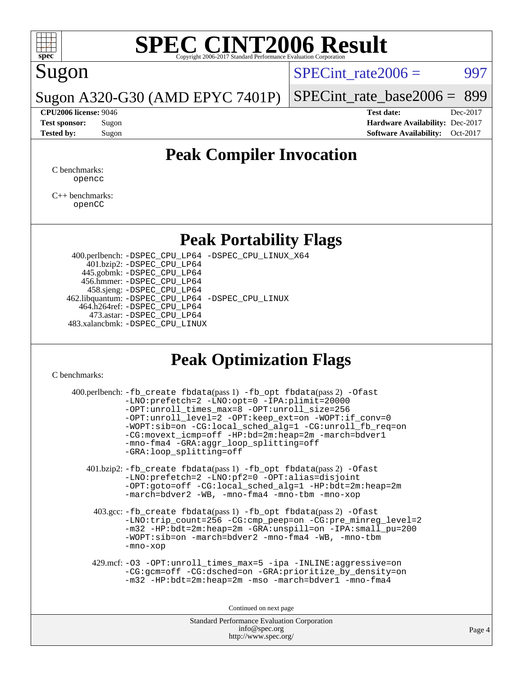

# Sugon

 $SPECTnt_rate2006 = 997$ 

Sugon A320-G30 (AMD EPYC 7401P)

**[Tested by:](http://www.spec.org/auto/cpu2006/Docs/result-fields.html#Testedby)** Sugon **[Software Availability:](http://www.spec.org/auto/cpu2006/Docs/result-fields.html#SoftwareAvailability)** Oct-2017

[SPECint\\_rate\\_base2006 =](http://www.spec.org/auto/cpu2006/Docs/result-fields.html#SPECintratebase2006) 899

**[CPU2006 license:](http://www.spec.org/auto/cpu2006/Docs/result-fields.html#CPU2006license)** 9046 **[Test date:](http://www.spec.org/auto/cpu2006/Docs/result-fields.html#Testdate)** Dec-2017 **[Test sponsor:](http://www.spec.org/auto/cpu2006/Docs/result-fields.html#Testsponsor)** Sugon **[Hardware Availability:](http://www.spec.org/auto/cpu2006/Docs/result-fields.html#HardwareAvailability)** Dec-2017

# **[Peak Compiler Invocation](http://www.spec.org/auto/cpu2006/Docs/result-fields.html#PeakCompilerInvocation)**

[C benchmarks](http://www.spec.org/auto/cpu2006/Docs/result-fields.html#Cbenchmarks): [opencc](http://www.spec.org/cpu2006/results/res2017q4/cpu2006-20171211-50957.flags.html#user_CCpeak_Fopencc)

[C++ benchmarks:](http://www.spec.org/auto/cpu2006/Docs/result-fields.html#CXXbenchmarks) [openCC](http://www.spec.org/cpu2006/results/res2017q4/cpu2006-20171211-50957.flags.html#user_CXXpeak_FopenCC)

## **[Peak Portability Flags](http://www.spec.org/auto/cpu2006/Docs/result-fields.html#PeakPortabilityFlags)**

 400.perlbench: [-DSPEC\\_CPU\\_LP64](http://www.spec.org/cpu2006/results/res2017q4/cpu2006-20171211-50957.flags.html#b400.perlbench_peakPORTABILITY_DSPEC_CPU_LP64) [-DSPEC\\_CPU\\_LINUX\\_X64](http://www.spec.org/cpu2006/results/res2017q4/cpu2006-20171211-50957.flags.html#b400.perlbench_peakCPORTABILITY_DSPEC_CPU_LINUX_X64) 401.bzip2: [-DSPEC\\_CPU\\_LP64](http://www.spec.org/cpu2006/results/res2017q4/cpu2006-20171211-50957.flags.html#suite_peakPORTABILITY401_bzip2_DSPEC_CPU_LP64) 445.gobmk: [-DSPEC\\_CPU\\_LP64](http://www.spec.org/cpu2006/results/res2017q4/cpu2006-20171211-50957.flags.html#suite_peakPORTABILITY445_gobmk_DSPEC_CPU_LP64) 456.hmmer: [-DSPEC\\_CPU\\_LP64](http://www.spec.org/cpu2006/results/res2017q4/cpu2006-20171211-50957.flags.html#suite_peakPORTABILITY456_hmmer_DSPEC_CPU_LP64) 458.sjeng: [-DSPEC\\_CPU\\_LP64](http://www.spec.org/cpu2006/results/res2017q4/cpu2006-20171211-50957.flags.html#suite_peakPORTABILITY458_sjeng_DSPEC_CPU_LP64) 462.libquantum: [-DSPEC\\_CPU\\_LP64](http://www.spec.org/cpu2006/results/res2017q4/cpu2006-20171211-50957.flags.html#suite_peakPORTABILITY462_libquantum_DSPEC_CPU_LP64) [-DSPEC\\_CPU\\_LINUX](http://www.spec.org/cpu2006/results/res2017q4/cpu2006-20171211-50957.flags.html#b462.libquantum_peakCPORTABILITY_DSPEC_CPU_LINUX) 464.h264ref: [-DSPEC\\_CPU\\_LP64](http://www.spec.org/cpu2006/results/res2017q4/cpu2006-20171211-50957.flags.html#suite_peakPORTABILITY464_h264ref_DSPEC_CPU_LP64) 473.astar: [-DSPEC\\_CPU\\_LP64](http://www.spec.org/cpu2006/results/res2017q4/cpu2006-20171211-50957.flags.html#suite_peakPORTABILITY473_astar_DSPEC_CPU_LP64) 483.xalancbmk: [-DSPEC\\_CPU\\_LINUX](http://www.spec.org/cpu2006/results/res2017q4/cpu2006-20171211-50957.flags.html#b483.xalancbmk_peakCXXPORTABILITY_DSPEC_CPU_LINUX)

# **[Peak Optimization Flags](http://www.spec.org/auto/cpu2006/Docs/result-fields.html#PeakOptimizationFlags)**

[C benchmarks](http://www.spec.org/auto/cpu2006/Docs/result-fields.html#Cbenchmarks):

| 400.perlbench: -fb_create fbdata(pass 1) -fb_opt fbdata(pass 2) -Ofast<br>-LNO:prefetch=2 -LNO:opt=0 -IPA:plimit=20000<br>-OPT:unroll_times_max=8 -OPT:unroll_size=256<br>-OPT:unroll_level=2 -OPT:keep_ext=on -WOPT:if_conv=0<br>-WOPT:sib=on -CG:local_sched_alg=1 -CG:unroll_fb_req=on<br>-CG:movext_icmp=off -HP:bd=2m:heap=2m -march=bdver1<br>-mno-fma4 -GRA:aggr_loop_splitting=off<br>-GRA:loop_splitting=off |        |
|-----------------------------------------------------------------------------------------------------------------------------------------------------------------------------------------------------------------------------------------------------------------------------------------------------------------------------------------------------------------------------------------------------------------------|--------|
| 401.bzip2: -fb_create fbdata(pass 1) -fb_opt fbdata(pass 2) -Ofast<br>-LNO: prefetch=2 -LNO: pf2=0 -OPT: alias=disjoint<br>-OPT:goto=off -CG:local_sched_alg=1 -HP:bdt=2m:heap=2m<br>-march=bdver2 -WB, -mno-fma4 -mno-tbm -mno-xop                                                                                                                                                                                   |        |
| 403.gcc: -fb_create fbdata(pass 1) -fb_opt fbdata(pass 2) -Ofast<br>-LNO:trip_count=256 -CG:cmp_peep=on -CG:pre_minreg_level=2<br>-m32 -HP:bdt=2m:heap=2m -GRA:unspill=on -IPA:small_pu=200<br>-WOPT:sib=on -march=bdver2 -mno-fma4 -WB, -mno-tbm<br>-mno-xop                                                                                                                                                         |        |
| 429.mcf: -03 -OPT:unroll_times_max=5 -ipa -INLINE:aggressive=on<br>-CG:gcm=off -CG:dsched=on -GRA:prioritize_by_density=on<br>-m32 -HP:bdt=2m:heap=2m -mso -march=bdver1 -mno-fma4                                                                                                                                                                                                                                    |        |
| Continued on next page                                                                                                                                                                                                                                                                                                                                                                                                |        |
| Standard Performance Evaluation Corporation<br>info@spec.org<br>http://www.spec.org/                                                                                                                                                                                                                                                                                                                                  | Page 4 |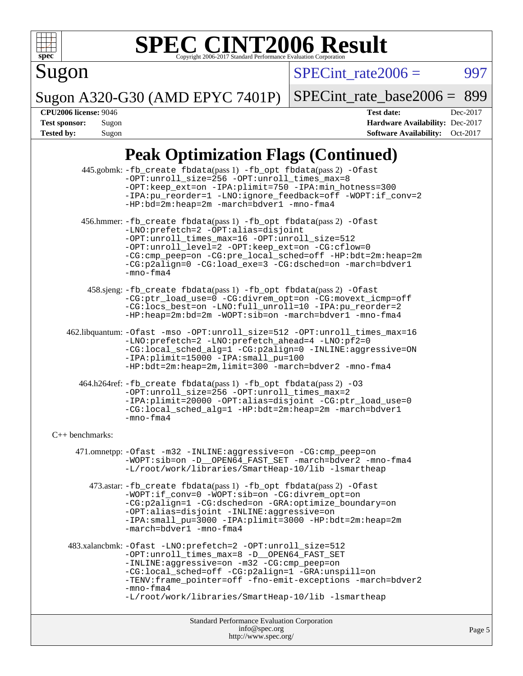

Sugon

 $SPECTnt_rate2006 = 997$ 

Sugon A320-G30 (AMD EPYC 7401P)

[SPECint\\_rate\\_base2006 =](http://www.spec.org/auto/cpu2006/Docs/result-fields.html#SPECintratebase2006) 899

**[CPU2006 license:](http://www.spec.org/auto/cpu2006/Docs/result-fields.html#CPU2006license)** 9046 **[Test date:](http://www.spec.org/auto/cpu2006/Docs/result-fields.html#Testdate)** Dec-2017 **[Test sponsor:](http://www.spec.org/auto/cpu2006/Docs/result-fields.html#Testsponsor)** Sugon **[Hardware Availability:](http://www.spec.org/auto/cpu2006/Docs/result-fields.html#HardwareAvailability)** Dec-2017 **[Tested by:](http://www.spec.org/auto/cpu2006/Docs/result-fields.html#Testedby)** Sugon **[Software Availability:](http://www.spec.org/auto/cpu2006/Docs/result-fields.html#SoftwareAvailability)** Oct-2017

# **[Peak Optimization Flags \(Continued\)](http://www.spec.org/auto/cpu2006/Docs/result-fields.html#PeakOptimizationFlags)**

|                   | Standard Performance Evaluation Corporation<br>info@spec.org                                                                                                                                                                                                                                                                                              | Page |
|-------------------|-----------------------------------------------------------------------------------------------------------------------------------------------------------------------------------------------------------------------------------------------------------------------------------------------------------------------------------------------------------|------|
|                   | -CG:local_sched=off -CG:p2align=1 -GRA:unspill=on<br>-TENV:frame_pointer=off -fno-emit-exceptions -march=bdver2<br>$-mno-fma4$<br>-L/root/work/libraries/SmartHeap-10/lib -lsmartheap                                                                                                                                                                     |      |
|                   | 483.xalancbmk: -Ofast -LNO:prefetch=2 -OPT:unroll_size=512<br>-OPT:unroll_times_max=8 -D__OPEN64_FAST_SET<br>-INLINE:aggressive=on -m32 -CG:cmp_peep=on                                                                                                                                                                                                   |      |
|                   | 473.astar: -fb_create fbdata(pass 1) -fb_opt fbdata(pass 2) -Ofast<br>-WOPT:if_conv=0 -WOPT:sib=on -CG:divrem_opt=on<br>-CG:p2align=1 -CG:dsched=on -GRA:optimize_boundary=on<br>-OPT:alias=disjoint -INLINE:aggressive=on<br>-IPA: small_pu=3000 -IPA: plimit=3000 -HP: bdt=2m: heap=2m<br>-march=bdver1 -mno-fma4                                       |      |
|                   | 471.omnetpp: -Ofast -m32 -INLINE:aggressive=on -CG:cmp_peep=on<br>-WOPT:sib=on -D__OPEN64_FAST_SET -march=bdver2 -mno-fma4<br>-L/root/work/libraries/SmartHeap-10/lib -lsmartheap                                                                                                                                                                         |      |
| $C++$ benchmarks: |                                                                                                                                                                                                                                                                                                                                                           |      |
|                   | 464.h264ref: -fb_create fbdata(pass 1) -fb_opt fbdata(pass 2) -03<br>-OPT:unroll_size=256 -OPT:unroll_times_max=2<br>-IPA:plimit=20000 -OPT:alias=disjoint -CG:ptr_load_use=0<br>-CG:local_sched_alg=1 -HP:bdt=2m:heap=2m -march=bdver1<br>$-mno-fma4$                                                                                                    |      |
|                   | 462.libquantum: -Ofast -mso -OPT:unroll_size=512 -OPT:unroll_times_max=16<br>-LNO:prefetch=2 -LNO:prefetch ahead=4 -LNO:pf2=0<br>-CG:local sched alg=1 -CG:p2align=0 -INLINE:aggressive=ON<br>-IPA:plimit=15000 -IPA:small_pu=100<br>-HP:bdt=2m:heap=2m,limit=300 -march=bdver2 -mno-fma4                                                                 |      |
|                   | 458.sjeng: -fb_create fbdata(pass 1) -fb_opt fbdata(pass 2) -Ofast<br>-CG:ptr_load_use=0 -CG:divrem_opt=on -CG:movext_icmp=off<br>-CG:locs_best=on -LNO:full_unroll=10 -IPA:pu_reorder=2<br>$-HP: \text{heap=2m}: \text{bd=2m} - \text{WOPT}: \text{sib=on} - \text{march=bdver1} - \text{mno-fma4}$                                                      |      |
|                   | 456.hmmer: -fb_create fbdata(pass 1) -fb_opt fbdata(pass 2) -Ofast<br>-LNO: prefetch=2 -OPT: alias=disjoint<br>-OPT:unroll_times_max=16 -OPT:unroll_size=512<br>-OPT:unroll_level=2 -OPT:keep_ext=on -CG:cflow=0<br>-CG:cmp_peep=on -CG:pre_local_sched=off -HP:bdt=2m:heap=2m<br>-CG:p2align=0 -CG:load exe=3 -CG:dsched=on -march=bdver1<br>$-mno-fma4$ |      |
|                   | 445.gobmk: -fb_create fbdata(pass 1) -fb_opt fbdata(pass 2) -Ofast<br>-OPT:unroll_size=256 -OPT:unroll_times_max=8<br>-OPT: keep_ext=on -IPA: plimit=750 -IPA: min_hotness=300<br>-IPA:pu_reorder=1 -LNO:ignore_feedback=off -WOPT:if_conv=2<br>-HP:bd=2m:heap=2m -march=bdver1 -mno-fma4                                                                 |      |

<http://www.spec.org/>